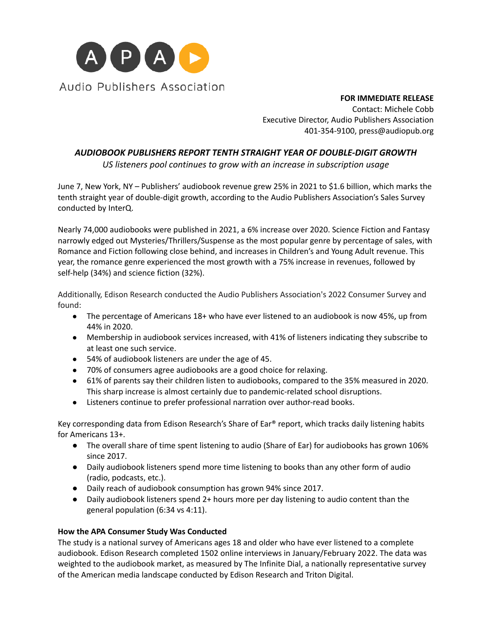

**FOR IMMEDIATE RELEASE**

Contact: Michele Cobb Executive Director, Audio Publishers Association 401-354-9100, press@audiopub.org

# *AUDIOBOOK PUBLISHERS REPORT TENTH STRAIGHT YEAR OF DOUBLE-DIGIT GROWTH*

*US listeners pool continues to grow with an increase in subscription usage*

June 7, New York, NY – Publishers' audiobook revenue grew 25% in 2021 to \$1.6 billion, which marks the tenth straight year of double-digit growth, according to the Audio Publishers Association's Sales Survey conducted by InterQ.

Nearly 74,000 audiobooks were published in 2021, a 6% increase over 2020. Science Fiction and Fantasy narrowly edged out Mysteries/Thrillers/Suspense as the most popular genre by percentage of sales, with Romance and Fiction following close behind, and increases in Children's and Young Adult revenue. This year, the romance genre experienced the most growth with a 75% increase in revenues, followed by self-help (34%) and science fiction (32%).

Additionally, Edison Research conducted the Audio Publishers Association's 2022 Consumer Survey and found:

- The percentage of Americans 18+ who have ever listened to an audiobook is now 45%, up from 44% in 2020.
- Membership in audiobook services increased, with 41% of listeners indicating they subscribe to at least one such service.
- 54% of audiobook listeners are under the age of 45.
- 70% of consumers agree audiobooks are a good choice for relaxing.
- 61% of parents say their children listen to audiobooks, compared to the 35% measured in 2020. This sharp increase is almost certainly due to pandemic-related school disruptions.
- Listeners continue to prefer professional narration over author-read books.

Key corresponding data from Edison Research's Share of Ear® report, which tracks daily listening habits for Americans 13+.

- The overall share of time spent listening to audio (Share of Ear) for audiobooks has grown 106% since 2017.
- Daily audiobook listeners spend more time listening to books than any other form of audio (radio, podcasts, etc.).
- Daily reach of audiobook consumption has grown 94% since 2017.
- Daily audiobook listeners spend 2+ hours more per day listening to audio content than the general population (6:34 vs 4:11).

## **How the APA Consumer Study Was Conducted**

The study is a national survey of Americans ages 18 and older who have ever listened to a complete audiobook. Edison Research completed 1502 online interviews in January/February 2022. The data was weighted to the audiobook market, as measured by The Infinite Dial, a nationally representative survey of the American media landscape conducted by Edison Research and Triton Digital.